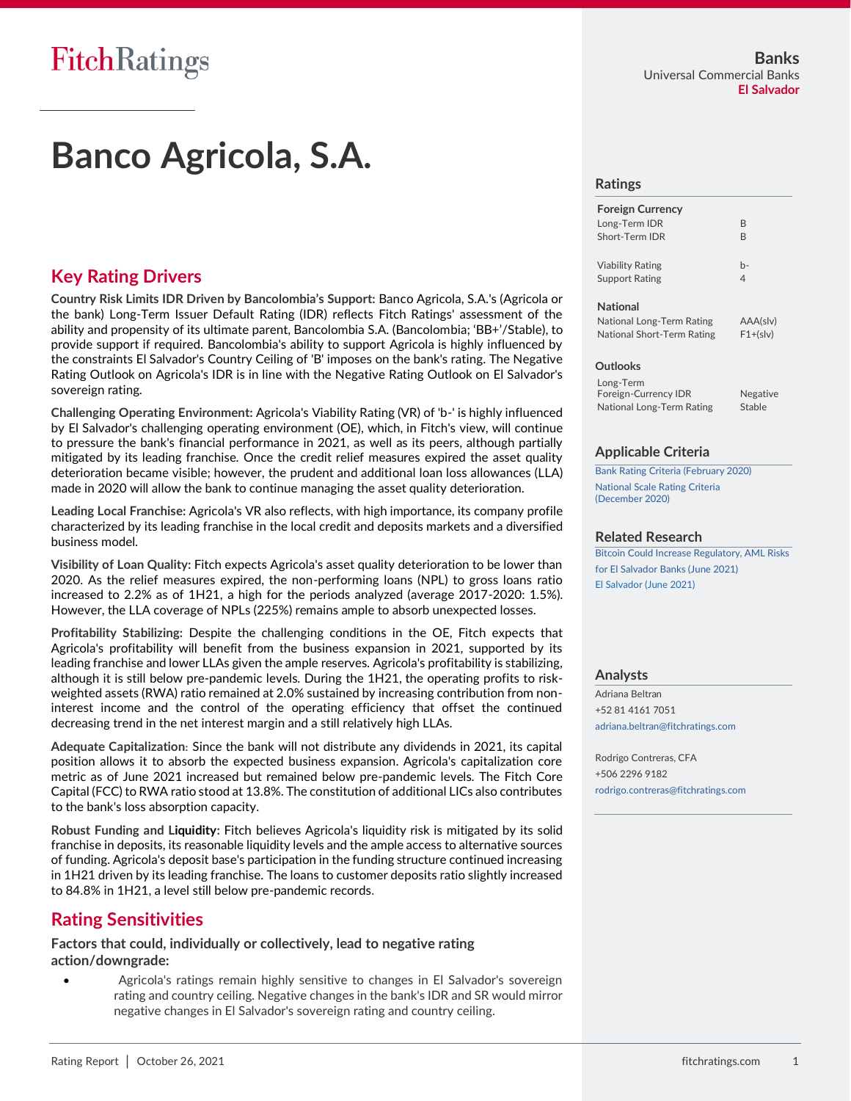## **Banco Agricola, S.A.**

## **Key Rating Drivers**

**Country Risk Limits IDR Driven by Bancolombia's Support:** Banco Agricola, S.A.'s (Agricola or the bank) Long-Term Issuer Default Rating (IDR) reflects Fitch Ratings' assessment of the ability and propensity of its ultimate parent, Bancolombia S.A. (Bancolombia; 'BB+'/Stable), to provide support if required. Bancolombia's ability to support Agricola is highly influenced by the constraints El Salvador's Country Ceiling of 'B' imposes on the bank's rating. The Negative Rating Outlook on Agricola's IDR is in line with the Negative Rating Outlook on El Salvador's sovereign rating.

**Challenging Operating Environment:** Agricola's Viability Rating (VR) of 'b-' is highly influenced by El Salvador's challenging operating environment (OE), which, in Fitch's view, will continue to pressure the bank's financial performance in 2021, as well as its peers, although partially mitigated by its leading franchise. Once the credit relief measures expired the asset quality deterioration became visible; however, the prudent and additional loan loss allowances (LLA) made in 2020 will allow the bank to continue managing the asset quality deterioration.

**Leading Local Franchise:** Agricola's VR also reflects, with high importance, its company profile characterized by its leading franchise in the local credit and deposits markets and a diversified business model.

**Visibility of Loan Quality:** Fitch expects Agricola's asset quality deterioration to be lower than 2020. As the relief measures expired, the non-performing loans (NPL) to gross loans ratio increased to 2.2% as of 1H21, a high for the periods analyzed (average 2017-2020: 1.5%). However, the LLA coverage of NPLs (225%) remains ample to absorb unexpected losses.

**Profitability Stabilizing:** Despite the challenging conditions in the OE, Fitch expects that Agricola's profitability will benefit from the business expansion in 2021, supported by its leading franchise and lower LLAs given the ample reserves. Agricola's profitability is stabilizing, although it is still below pre-pandemic levels. During the 1H21, the operating profits to riskweighted assets (RWA) ratio remained at 2.0% sustained by increasing contribution from noninterest income and the control of the operating efficiency that offset the continued decreasing trend in the net interest margin and a still relatively high LLAs.

**Adequate Capitalization:** Since the bank will not distribute any dividends in 2021, its capital position allows it to absorb the expected business expansion. Agricola's capitalization core metric as of June 2021 increased but remained below pre-pandemic levels. The Fitch Core Capital (FCC) to RWA ratio stood at 13.8%. The constitution of additional LICs also contributes to the bank's loss absorption capacity.

**Robust Funding and Liquidity:** Fitch believes Agricola's liquidity risk is mitigated by its solid franchise in deposits, its reasonable liquidity levels and the ample access to alternative sources of funding. Agricola's deposit base's participation in the funding structure continued increasing in 1H21 driven by its leading franchise. The loans to customer deposits ratio slightly increased to 84.8% in 1H21, a level still below pre-pandemic records.

## **Rating Sensitivities**

**Factors that could, individually or collectively, lead to negative rating action/downgrade:**

• Agricola's ratings remain highly sensitive to changes in El Salvador's sovereign rating and country ceiling. Negative changes in the bank's IDR and SR would mirror negative changes in El Salvador's sovereign rating and country ceiling.

#### **Ratings**

| <b>Foreign Currency</b> |    |
|-------------------------|----|
| Long-Term IDR           | R  |
| Short-Term IDR          | R  |
| <b>Viability Rating</b> | h- |
| Support Rating          | 4  |
| <b>National</b>         |    |

| National Long-Term Rating  | AAA(slv)   |
|----------------------------|------------|
| National Short-Term Rating | $F1+(s v)$ |

#### **Outlooks**

Long-Term Foreign-Currency IDR Negative National Long-Term Rating Stable

### **Applicable Criteria**

[Bank Rating Criteria \(February 2020\)](https://www.fitchratings.com/site/re/10110041) [National Scale Rating Criteria](https://www.fitchratings.com/site/re/10146648)  [\(December 2020\)](https://www.fitchratings.com/site/re/10146648)

### **Related Research**

[Bitcoin Could Increase Regulatory, AML Risks](https://www.fitchratings.com/site/pr/10167930) [for El Salvador Banks \(June 2021\)](https://www.fitchratings.com/site/pr/10167930) [El Salvador \(June 2021\)](https://www.fitchratings.com/site/re/10161302)

#### **Analysts**

Adriana Beltran +52 81 4161 7051 [adriana.beltran@fitchratings.com](mailto:adriana.beltran@fitchratings.com)

Rodrigo Contreras, CFA +506 2296 9182 [rodrigo.contreras@fitchratings.com](mailto:rodrigo.contreras@fitchratings.com)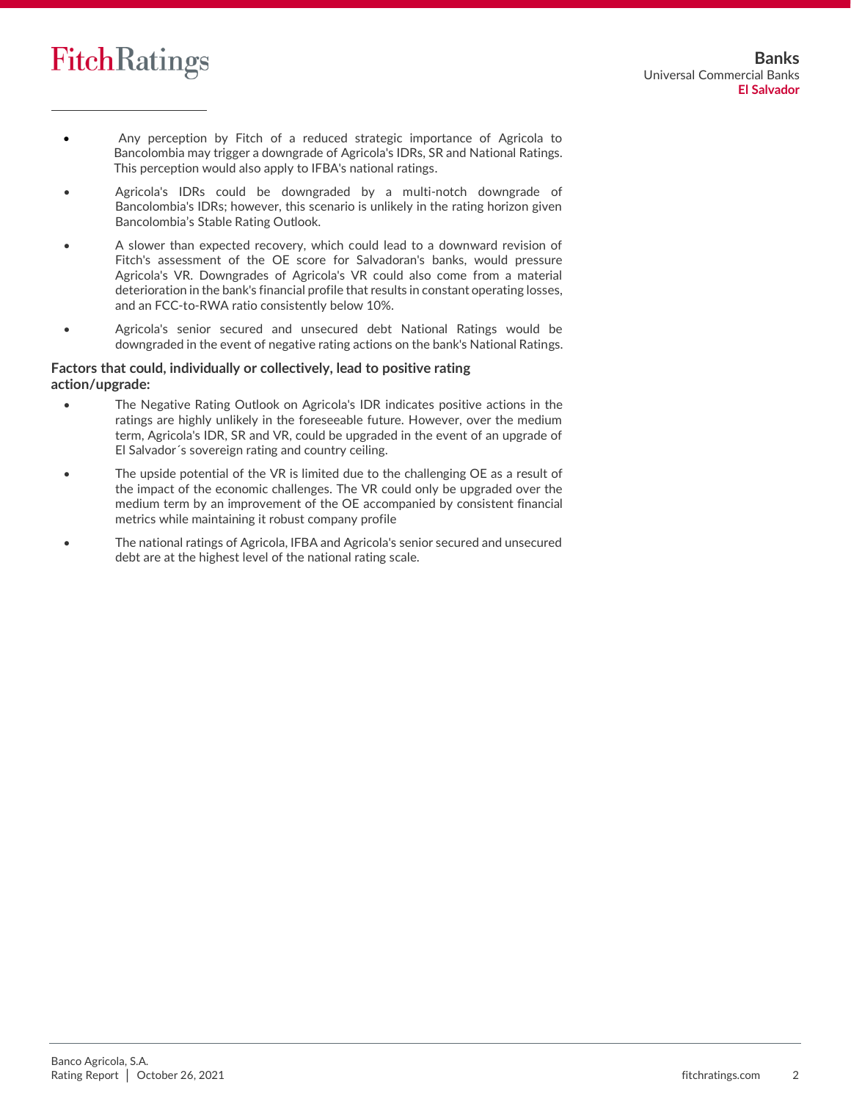

- Any perception by Fitch of a reduced strategic importance of Agricola to Bancolombia may trigger a downgrade of Agricola's IDRs, SR and National Ratings. This perception would also apply to IFBA's national ratings.
- Agricola's IDRs could be downgraded by a multi-notch downgrade of Bancolombia's IDRs; however, this scenario is unlikely in the rating horizon given Bancolombia's Stable Rating Outlook.
- A slower than expected recovery, which could lead to a downward revision of Fitch's assessment of the OE score for Salvadoran's banks, would pressure Agricola's VR. Downgrades of Agricola's VR could also come from a material deterioration in the bank's financial profile that results in constant operating losses, and an FCC-to-RWA ratio consistently below 10%.
- Agricola's senior secured and unsecured debt National Ratings would be downgraded in the event of negative rating actions on the bank's National Ratings.

### **Factors that could, individually or collectively, lead to positive rating action/upgrade:**

- The Negative Rating Outlook on Agricola's IDR indicates positive actions in the ratings are highly unlikely in the foreseeable future. However, over the medium term, Agricola's IDR, SR and VR, could be upgraded in the event of an upgrade of El Salvador´s sovereign rating and country ceiling.
- The upside potential of the VR is limited due to the challenging OE as a result of the impact of the economic challenges. The VR could only be upgraded over the medium term by an improvement of the OE accompanied by consistent financial metrics while maintaining it robust company profile
- The national ratings of Agricola, IFBA and Agricola's senior secured and unsecured debt are at the highest level of the national rating scale.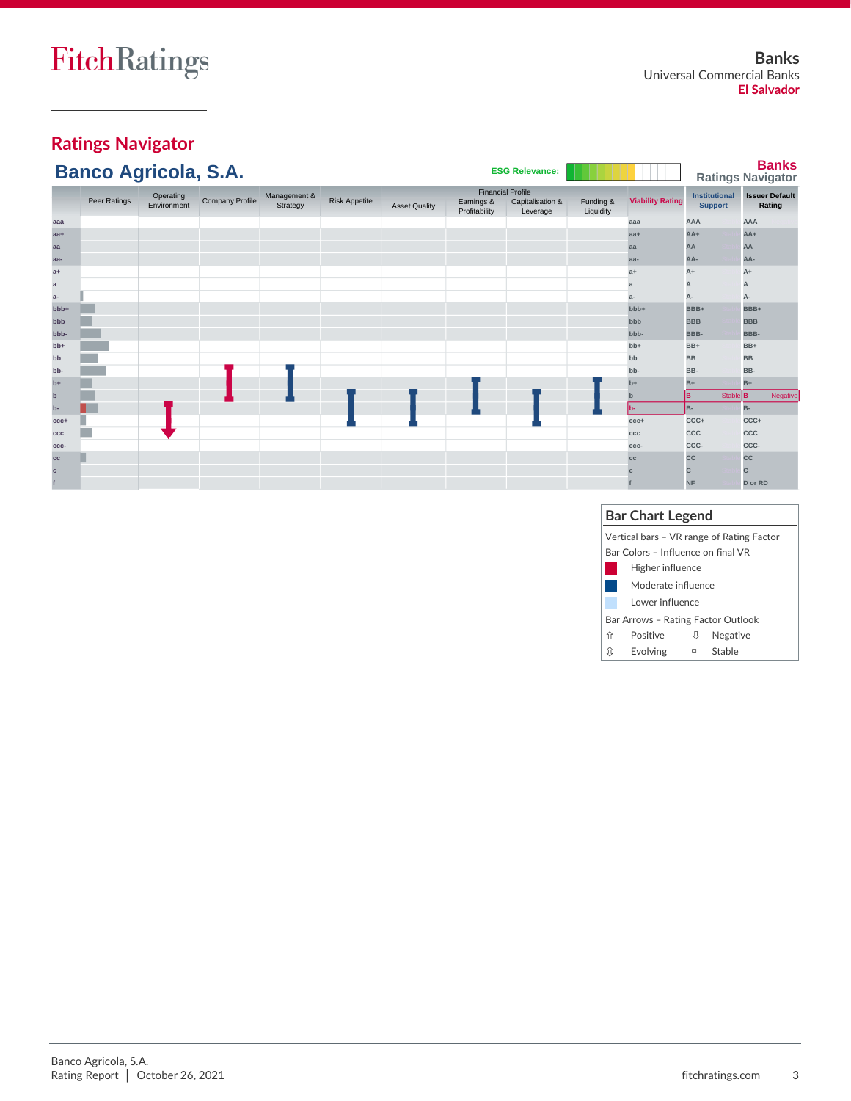# **Ratings Navigator**

|        | <b>Banco Agricola, S.A.</b> |                          |                        |                          |                      |                      |                                                         | <b>ESG Relevance:</b>        |                        |                         |                                        |                   | <b>Banks</b><br><b>Ratings Navigator</b> |
|--------|-----------------------------|--------------------------|------------------------|--------------------------|----------------------|----------------------|---------------------------------------------------------|------------------------------|------------------------|-------------------------|----------------------------------------|-------------------|------------------------------------------|
|        | Peer Ratings                | Operating<br>Environment | <b>Company Profile</b> | Management &<br>Strategy | <b>Risk Appetite</b> | <b>Asset Quality</b> | <b>Financial Profile</b><br>Earnings &<br>Profitability | Capitalisation &<br>Leverage | Funding &<br>Liquidity | <b>Viability Rating</b> | <b>Institutional</b><br><b>Support</b> |                   | <b>Issuer Default</b><br>Rating          |
| aaa    |                             |                          |                        |                          |                      |                      |                                                         |                              |                        | aaa                     | AAA                                    |                   | <b>AAA</b>                               |
| aa+    |                             |                          |                        |                          |                      |                      |                                                         |                              |                        | $aa+$                   | $AA+$                                  |                   | $AA+$                                    |
| aa     |                             |                          |                        |                          |                      |                      |                                                         |                              |                        | aa                      | AA                                     |                   | AA                                       |
| aa-    |                             |                          |                        |                          |                      |                      |                                                         |                              |                        | aa-                     | AA-                                    |                   | AA-                                      |
| a+     |                             |                          |                        |                          |                      |                      |                                                         |                              |                        | $a+$                    | $A+$                                   |                   | $A+$                                     |
| ã      |                             |                          |                        |                          |                      |                      |                                                         |                              |                        | a                       | A                                      |                   | A                                        |
| a-     |                             |                          |                        |                          |                      |                      |                                                         |                              |                        | $a-$                    | А-                                     |                   | А-                                       |
| bbb+   |                             |                          |                        |                          |                      |                      |                                                         |                              |                        | bbb+                    | BBB+                                   |                   | BBB+                                     |
| bbb    |                             |                          |                        |                          |                      |                      |                                                         |                              |                        | bbb                     | <b>BBB</b>                             |                   | <b>BBB</b>                               |
| -ddd   |                             |                          |                        |                          |                      |                      |                                                         |                              |                        | bbb-                    | BBB-                                   |                   | BBB-                                     |
| $bb+$  |                             |                          |                        |                          |                      |                      |                                                         |                              |                        | $bb+$                   | BB+                                    |                   | BB+                                      |
| bb     |                             |                          |                        |                          |                      |                      |                                                         |                              |                        | bb                      | <b>BB</b>                              |                   | <b>BB</b>                                |
| bb-    |                             |                          |                        |                          |                      |                      |                                                         |                              |                        | bb-                     | BB-                                    |                   | BB-                                      |
| $b+$   |                             |                          |                        |                          |                      |                      |                                                         |                              |                        | $b+$                    | $B+$                                   |                   | $B+$                                     |
|        |                             |                          |                        |                          |                      |                      |                                                         |                              |                        | $\mathbf{b}$            | lв                                     | $Stable$ <b>B</b> | Negative                                 |
|        |                             |                          |                        |                          |                      |                      |                                                         |                              |                        | lb-                     | B-                                     |                   | B-                                       |
| $ccc+$ |                             |                          |                        |                          |                      |                      |                                                         |                              |                        | $ccc+$                  | CCC+                                   |                   | CCC+                                     |
| ccc    |                             |                          |                        |                          |                      |                      |                                                         |                              |                        | ccc                     | CCC                                    |                   | CCC                                      |
| CCC-   |                             |                          |                        |                          |                      |                      |                                                         |                              |                        | CCC-                    | CCC-                                   |                   | CCC-                                     |
| CC     |                             |                          |                        |                          |                      |                      |                                                         |                              |                        | cc                      | cc                                     |                   | <b>CC</b>                                |
| c.     |                             |                          |                        |                          |                      |                      |                                                         |                              |                        |                         | с                                      |                   | C                                        |
|        |                             |                          |                        |                          |                      |                      |                                                         |                              |                        |                         | <b>NF</b>                              |                   | D or RD                                  |

## **Bar Chart Legend**

|   | Vertical bars – VR range of Rating Factor |        |          |  |  |
|---|-------------------------------------------|--------|----------|--|--|
|   | Bar Colors – Influence on final VR        |        |          |  |  |
|   | Higher influence                          |        |          |  |  |
|   | Moderate influence                        |        |          |  |  |
|   | Lower influence                           |        |          |  |  |
|   | Bar Arrows – Rating Factor Outlook        |        |          |  |  |
| ⇧ | Positive                                  | ⇩      | Negative |  |  |
| ⇕ | Evolving                                  | $\Box$ | Stable   |  |  |
|   |                                           |        |          |  |  |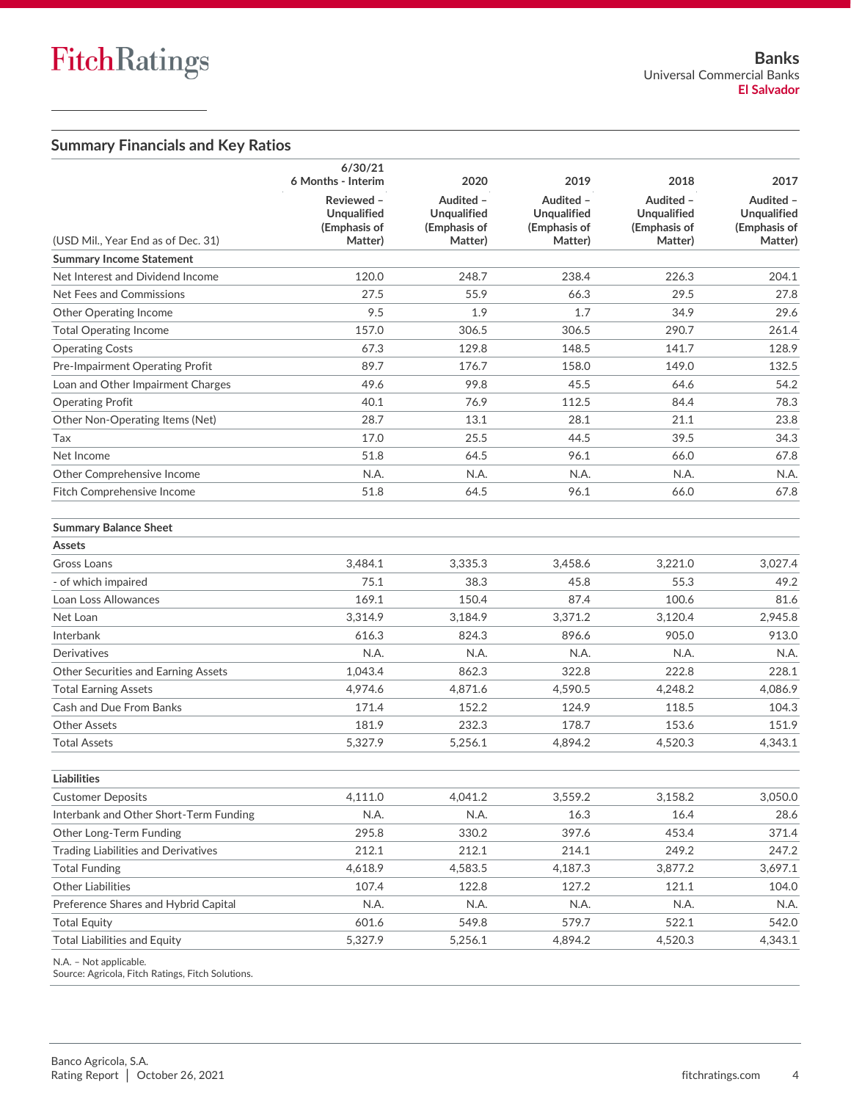## **Summary Financials and Key Ratios**

|                                            | 6/30/21<br>6 Months - Interim                               | 2020                                                       | 2019                                                       | 2018                                                       | 2017                                                |
|--------------------------------------------|-------------------------------------------------------------|------------------------------------------------------------|------------------------------------------------------------|------------------------------------------------------------|-----------------------------------------------------|
| (USD Mil., Year End as of Dec. 31)         | Reviewed -<br><b>Unqualified</b><br>(Emphasis of<br>Matter) | Audited -<br><b>Unqualified</b><br>(Emphasis of<br>Matter) | Audited -<br><b>Unqualified</b><br>(Emphasis of<br>Matter) | Audited -<br><b>Unqualified</b><br>(Emphasis of<br>Matter) | Audited -<br>Unqualified<br>(Emphasis of<br>Matter) |
| <b>Summary Income Statement</b>            |                                                             |                                                            |                                                            |                                                            |                                                     |
| Net Interest and Dividend Income           | 120.0                                                       | 248.7                                                      | 238.4                                                      | 226.3                                                      | 204.1                                               |
| Net Fees and Commissions                   | 27.5                                                        | 55.9                                                       | 66.3                                                       | 29.5                                                       | 27.8                                                |
| <b>Other Operating Income</b>              | 9.5                                                         | 1.9                                                        | 1.7                                                        | 34.9                                                       | 29.6                                                |
| <b>Total Operating Income</b>              | 157.0                                                       | 306.5                                                      | 306.5                                                      | 290.7                                                      | 261.4                                               |
| <b>Operating Costs</b>                     | 67.3                                                        | 129.8                                                      | 148.5                                                      | 141.7                                                      | 128.9                                               |
| Pre-Impairment Operating Profit            | 89.7                                                        | 176.7                                                      | 158.0                                                      | 149.0                                                      | 132.5                                               |
| Loan and Other Impairment Charges          | 49.6                                                        | 99.8                                                       | 45.5                                                       | 64.6                                                       | 54.2                                                |
| <b>Operating Profit</b>                    | 40.1                                                        | 76.9                                                       | 112.5                                                      | 84.4                                                       | 78.3                                                |
| Other Non-Operating Items (Net)            | 28.7                                                        | 13.1                                                       | 28.1                                                       | 21.1                                                       | 23.8                                                |
| Tax                                        | 17.0                                                        | 25.5                                                       | 44.5                                                       | 39.5                                                       | 34.3                                                |
| Net Income                                 | 51.8                                                        | 64.5                                                       | 96.1                                                       | 66.0                                                       | 67.8                                                |
| Other Comprehensive Income                 | N.A.                                                        | N.A.                                                       | N.A.                                                       | N.A.                                                       | N.A.                                                |
| Fitch Comprehensive Income                 | 51.8                                                        | 64.5                                                       | 96.1                                                       | 66.0                                                       | 67.8                                                |
| <b>Summary Balance Sheet</b>               |                                                             |                                                            |                                                            |                                                            |                                                     |
| Assets                                     |                                                             |                                                            |                                                            |                                                            |                                                     |
| Gross Loans                                | 3.484.1                                                     | 3,335.3                                                    | 3.458.6                                                    | 3,221.0                                                    | 3,027.4                                             |
| - of which impaired                        | 75.1                                                        | 38.3                                                       | 45.8                                                       | 55.3                                                       | 49.2                                                |
| Loan Loss Allowances                       | 169.1                                                       | 150.4                                                      | 87.4                                                       | 100.6                                                      | 81.6                                                |
| Net Loan                                   | 3,314.9                                                     | 3,184.9                                                    | 3,371.2                                                    | 3,120.4                                                    | 2,945.8                                             |
| Interbank                                  | 616.3                                                       | 824.3                                                      | 896.6                                                      | 905.0                                                      | 913.0                                               |
| Derivatives                                | N.A.                                                        | N.A.                                                       | N.A.                                                       | N.A.                                                       | N.A.                                                |
| Other Securities and Earning Assets        | 1,043.4                                                     | 862.3                                                      | 322.8                                                      | 222.8                                                      | 228.1                                               |
| <b>Total Earning Assets</b>                | 4,974.6                                                     | 4,871.6                                                    | 4,590.5                                                    | 4,248.2                                                    | 4,086.9                                             |
| Cash and Due From Banks                    | 171.4                                                       | 152.2                                                      | 124.9                                                      | 118.5                                                      | 104.3                                               |
| <b>Other Assets</b>                        | 181.9                                                       | 232.3                                                      | 178.7                                                      | 153.6                                                      | 151.9                                               |
| <b>Total Assets</b>                        | 5,327.9                                                     | 5,256.1                                                    | 4,894.2                                                    | 4,520.3                                                    | 4,343.1                                             |
| <b>Liabilities</b>                         |                                                             |                                                            |                                                            |                                                            |                                                     |
| <b>Customer Deposits</b>                   | 4,111.0                                                     | 4,041.2                                                    | 3,559.2                                                    | 3,158.2                                                    | 3,050.0                                             |
| Interbank and Other Short-Term Funding     | N.A.                                                        | N.A.                                                       | 16.3                                                       | 16.4                                                       | 28.6                                                |
| Other Long-Term Funding                    | 295.8                                                       | 330.2                                                      | 397.6                                                      | 453.4                                                      | 371.4                                               |
| <b>Trading Liabilities and Derivatives</b> | 212.1                                                       | 212.1                                                      | 214.1                                                      | 249.2                                                      | 247.2                                               |
| <b>Total Funding</b>                       | 4,618.9                                                     | 4,583.5                                                    | 4,187.3                                                    | 3,877.2                                                    | 3,697.1                                             |
| <b>Other Liabilities</b>                   | 107.4                                                       | 122.8                                                      | 127.2                                                      | 121.1                                                      | 104.0                                               |
| Preference Shares and Hybrid Capital       | N.A.                                                        | N.A.                                                       | N.A.                                                       | N.A.                                                       | N.A.                                                |
| <b>Total Equity</b>                        | 601.6                                                       | 549.8                                                      | 579.7                                                      | 522.1                                                      | 542.0                                               |
| <b>Total Liabilities and Equity</b>        | 5,327.9                                                     | 5,256.1                                                    | 4,894.2                                                    | 4,520.3                                                    | 4,343.1                                             |
| N.A. - Not applicable.                     |                                                             |                                                            |                                                            |                                                            |                                                     |

Source: Agricola, Fitch Ratings, Fitch Solutions.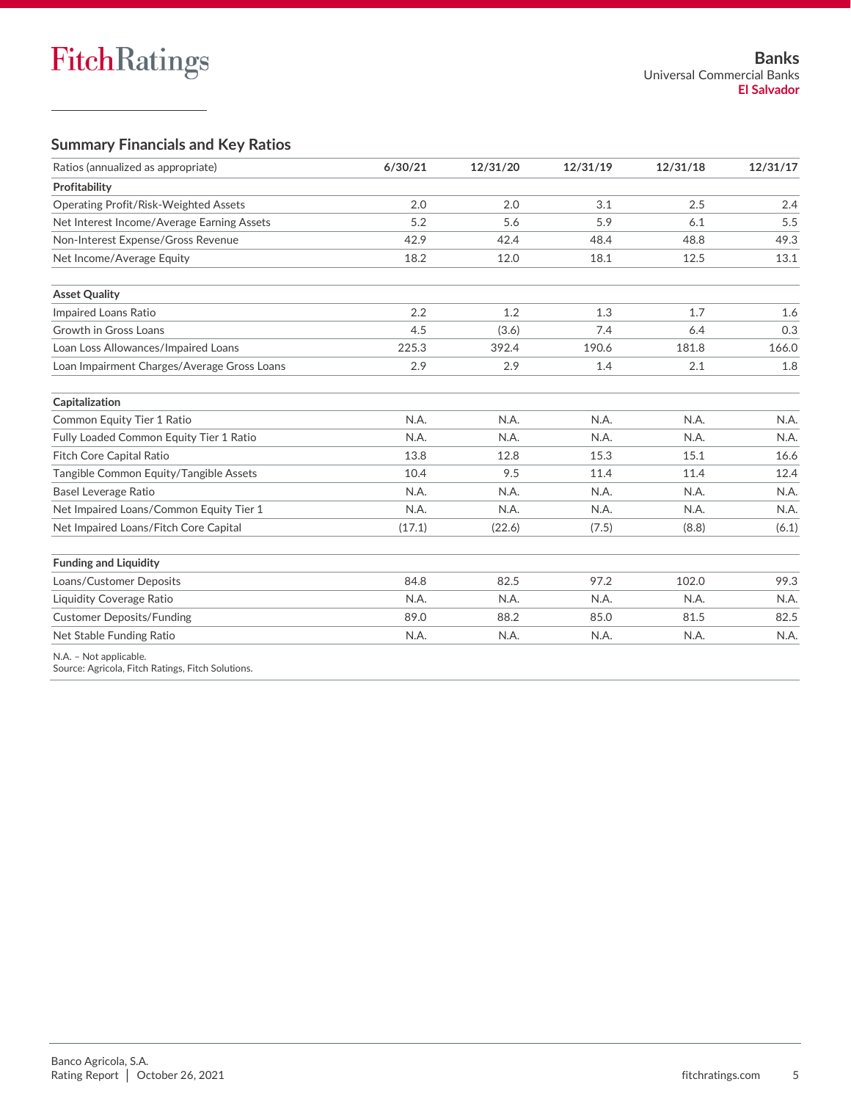## **Summary Financials and Key Ratios**

| Ratios (annualized as appropriate)          | 6/30/21 | 12/31/20 | 12/31/19 | 12/31/18 | 12/31/17 |
|---------------------------------------------|---------|----------|----------|----------|----------|
| Profitability                               |         |          |          |          |          |
| Operating Profit/Risk-Weighted Assets       | 2.0     | 2.0      | 3.1      | 2.5      | 2.4      |
| Net Interest Income/Average Earning Assets  | 5.2     | 5.6      | 5.9      | 6.1      | 5.5      |
| Non-Interest Expense/Gross Revenue          | 42.9    | 42.4     | 48.4     | 48.8     | 49.3     |
| Net Income/Average Equity                   | 18.2    | 12.0     | 18.1     | 12.5     | 13.1     |
| <b>Asset Quality</b>                        |         |          |          |          |          |
| Impaired Loans Ratio                        | 2.2     | 1.2      | 1.3      | 1.7      | 1.6      |
| Growth in Gross Loans                       | 4.5     | (3.6)    | 7.4      | 6.4      | 0.3      |
| Loan Loss Allowances/Impaired Loans         | 225.3   | 392.4    | 190.6    | 181.8    | 166.0    |
| Loan Impairment Charges/Average Gross Loans | 2.9     | 2.9      | 1.4      | 2.1      | 1.8      |
| Capitalization                              |         |          |          |          |          |
| Common Equity Tier 1 Ratio                  | N.A.    | N.A.     | N.A.     | N.A.     | N.A.     |
| Fully Loaded Common Equity Tier 1 Ratio     | N.A.    | N.A.     | N.A.     | N.A.     | N.A.     |
| Fitch Core Capital Ratio                    | 13.8    | 12.8     | 15.3     | 15.1     | 16.6     |
| Tangible Common Equity/Tangible Assets      | 10.4    | 9.5      | 11.4     | 11.4     | 12.4     |
| Basel Leverage Ratio                        | N.A.    | N.A.     | N.A.     | N.A.     | N.A.     |
| Net Impaired Loans/Common Equity Tier 1     | N.A.    | N.A.     | N.A.     | N.A.     | N.A.     |
| Net Impaired Loans/Fitch Core Capital       | (17.1)  | (22.6)   | (7.5)    | (8.8)    | (6.1)    |
| <b>Funding and Liquidity</b>                |         |          |          |          |          |
| Loans/Customer Deposits                     | 84.8    | 82.5     | 97.2     | 102.0    | 99.3     |
| Liquidity Coverage Ratio                    | N.A.    | N.A.     | N.A.     | N.A.     | N.A.     |
| <b>Customer Deposits/Funding</b>            | 89.0    | 88.2     | 85.0     | 81.5     | 82.5     |
| Net Stable Funding Ratio                    | N.A.    | N.A.     | N.A.     | N.A.     | N.A.     |
| N.A. - Not applicable.                      |         |          |          |          |          |

Source: Agricola, Fitch Ratings, Fitch Solutions.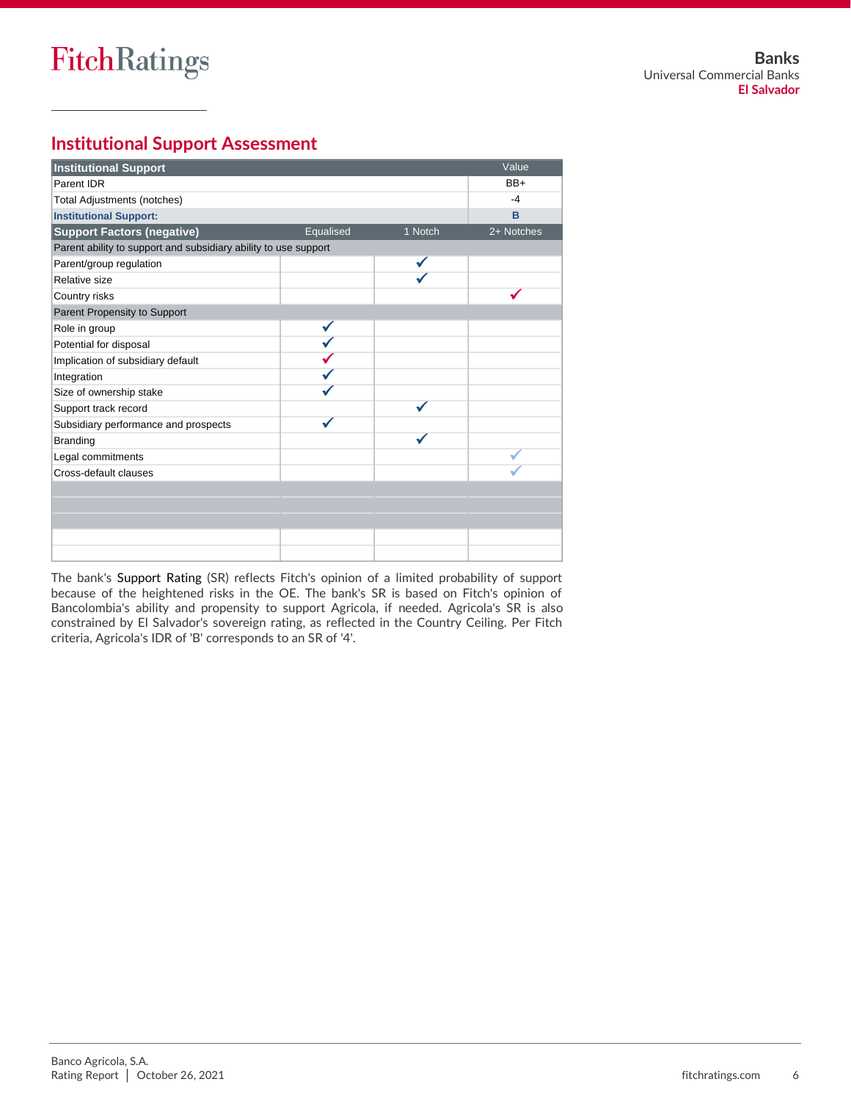## **Institutional Support Assessment**

| <b>Institutional Support</b>                                    |           |         | Value      |
|-----------------------------------------------------------------|-----------|---------|------------|
| Parent IDR                                                      |           |         | $BB+$      |
| Total Adjustments (notches)                                     |           |         | $-4$       |
| <b>Institutional Support:</b>                                   |           |         | B          |
| <b>Support Factors (negative)</b>                               | Equalised | 1 Notch | 2+ Notches |
| Parent ability to support and subsidiary ability to use support |           |         |            |
| Parent/group regulation                                         |           |         |            |
| Relative size                                                   |           |         |            |
| Country risks                                                   |           |         |            |
| Parent Propensity to Support                                    |           |         |            |
| Role in group                                                   |           |         |            |
| Potential for disposal                                          |           |         |            |
| Implication of subsidiary default                               |           |         |            |
| Integration                                                     |           |         |            |
| Size of ownership stake                                         |           |         |            |
| Support track record                                            |           |         |            |
| Subsidiary performance and prospects                            |           |         |            |
| Branding                                                        |           |         |            |
| Legal commitments                                               |           |         |            |
| Cross-default clauses                                           |           |         |            |
|                                                                 |           |         |            |
|                                                                 |           |         |            |
|                                                                 |           |         |            |
|                                                                 |           |         |            |
|                                                                 |           |         |            |

The bank's Support Rating (SR) reflects Fitch's opinion of a limited probability of support because of the heightened risks in the OE. The bank's SR is based on Fitch's opinion of Bancolombia's ability and propensity to support Agricola, if needed. Agricola's SR is also constrained by El Salvador's sovereign rating, as reflected in the Country Ceiling. Per Fitch criteria, Agricola's IDR of 'B' corresponds to an SR of '4'.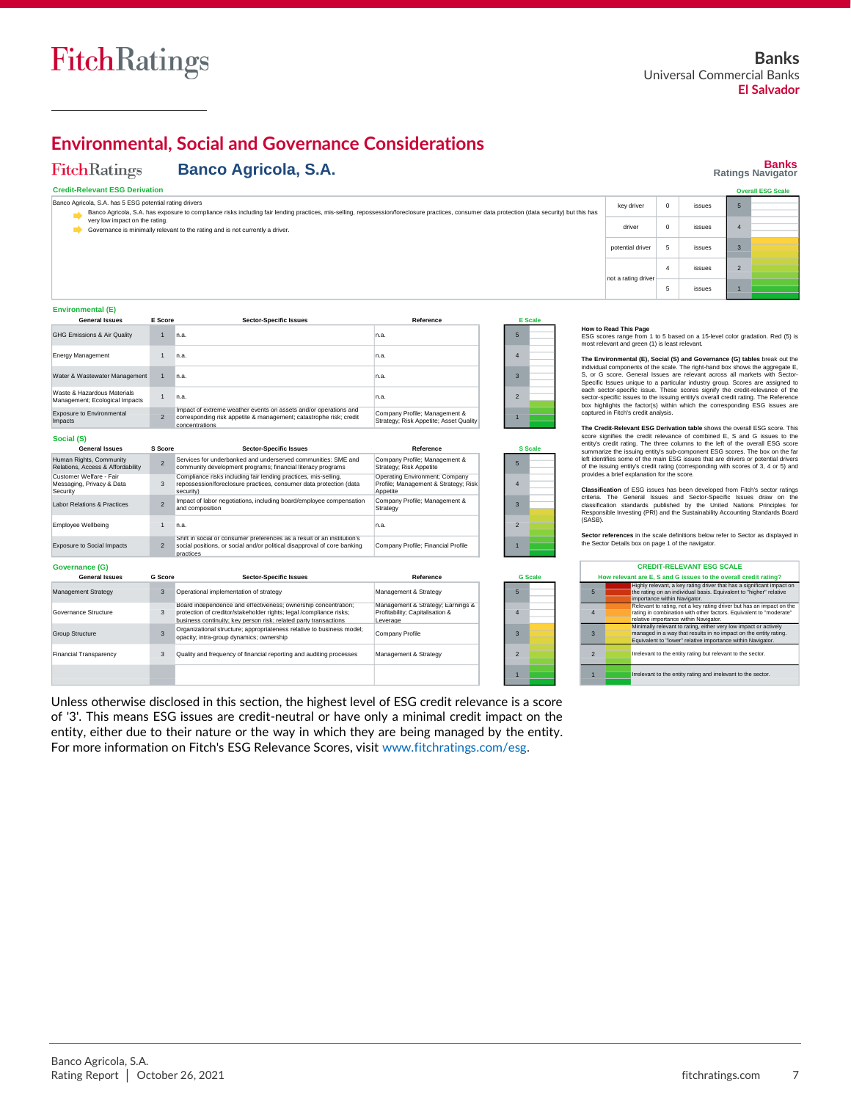

## **Environmental, Social and Governance Considerations**

#### **FitchRatings Banco Agricola, S.A.**

1 n.a.

and composition

social position<br>practices

 $\overline{2}$ 

#### **Banks Ratings Navigator**

#### **Credit-Relevant ESG Derivation**

| Banco Agricola, S.A. has 5 ESG potential rating drivers                                                                                                                                        | key driver |  |  |  |
|------------------------------------------------------------------------------------------------------------------------------------------------------------------------------------------------|------------|--|--|--|
| Banco Agricola, S.A. has exposure to compliance risks including fair lending practices, mis-selling, repossession/foreclosure practices, consumer data protection (data security) but this has |            |  |  |  |
| very low impact on the rating.                                                                                                                                                                 | driver     |  |  |  |
| Governance is minimally relevant to the rating and is not currently a driver.                                                                                                                  |            |  |  |  |

Appetite

Strategy n.a.

Company Profile; Financial Profile

Company Profile; Management &

|                     |          |        |                | <b>Overall ESG Scale</b> |
|---------------------|----------|--------|----------------|--------------------------|
| key driver          | $\Omega$ | issues | 5              |                          |
| driver              | $\Omega$ | issues | 4              |                          |
| potential driver    | 5        | issues | 3              |                          |
| not a rating driver | 4        | issues | $\overline{2}$ |                          |
|                     | 5        | issues |                |                          |

#### **Environmental (E)**

Security

Labor Relations & Practices Employee Wellbeing Exposure to Social Impacts

| <b>General Issues</b>                                            | E Score                  | <b>Sector-Specific Issues</b>                                                                                                                            | Reference                                                                          |                          | <b>E</b> Scale |
|------------------------------------------------------------------|--------------------------|----------------------------------------------------------------------------------------------------------------------------------------------------------|------------------------------------------------------------------------------------|--------------------------|----------------|
| GHG Emissions & Air Quality                                      |                          | n.a.                                                                                                                                                     | n.a.                                                                               | 5                        |                |
| <b>Energy Management</b>                                         |                          | n.a.                                                                                                                                                     | n.a.                                                                               | 4                        |                |
| Water & Wastewater Management                                    |                          | n.a.                                                                                                                                                     | In.a.                                                                              | з                        |                |
| Waste & Hazardous Materials<br>Management; Ecological Impacts    |                          | n.a.                                                                                                                                                     | n.a.                                                                               | $\overline{\phantom{a}}$ |                |
| <b>Exposure to Environmental</b><br>Impacts                      | $\overline{\phantom{0}}$ | Impact of extreme weather events on assets and/or operations and<br>corresponding risk appetite & management; catastrophe risk; credit<br>concentrations | Company Profile; Management &<br>Strategy; Risk Appetite; Asset Quality            |                          |                |
| Social (S)                                                       |                          |                                                                                                                                                          |                                                                                    |                          |                |
| <b>General Issues</b>                                            | S Score                  | <b>Sector-Specific Issues</b>                                                                                                                            | Reference                                                                          |                          | <b>S</b> Scale |
| Human Rights, Community<br>Relations, Access & Affordability     | $\overline{a}$           | Services for underbanked and underserved communities: SME and<br>community development programs; financial literacy programs                             | Company Profile; Management &<br>Strategy; Risk Appetite                           | 5                        |                |
| Customer Welfare - Fair<br>Messaging, Privacy & Data<br>Security | 3                        | Compliance risks including fair lending practices, mis-selling,<br>repossession/foreclosure practices, consumer data protection (data<br>security)       | Operating Environment; Company<br>Profile; Management & Strategy; Risk<br>Appetite | 4                        |                |

Impact of labor negotiations, including board/employee compensation

## Shift in social or consumer preferences as a result of an institution's Company Profile; Financial Profile and Company Profile and Company Profile and Company Profile and Company Profile and Company Profile and Company Pro 3 2

**How to Read This Page**<br>ESG scores range from 1 to 5 based on a 15-level color gradation. Red (5) is<br>most relevant and green (1) is least relevant.

The Environmental (E), Social (S) and Governance (G) tables break out the<br>individual components of the scale. The right-hand box shows the aggregate E,<br>S, or G score. General Issues are relevant across all markets with Sec sector-specific issues to the issuing entity's overall credit rating. The Reference box highlights the factor(s) within which the corresponding ESG issues are captured in Fitch's credit analysis.

The Credit-Relevant ESG Derivation table shows the overall ESG score. This credit-Relevant Score signifies the credit relevance of combined E, S and G issues to the entity's credit rating. The three columns to the left of of the issuing entity's credit rating (corresponding with scores of 3, 4 or 5) and provides a brief explanation for the score.

**Classification** of ESG issues has been developed from Fitch's sector ratings criteria. The General Issues and Sector-Specific Issues draw on the classification standards published by the United Nations Principles for Responsible Investing (PRI) and the Sustainability Accounting Standards Board (SASB).

**Sector references** in the scale definitions below refer to Sector as displayed in the Sector Details box on page 1 of the navigator.

|               | <b>CREDIT-RELEVANT ESG SCALE</b>                                                                                                                                                                    |  |  |  |  |  |
|---------------|-----------------------------------------------------------------------------------------------------------------------------------------------------------------------------------------------------|--|--|--|--|--|
|               | How relevant are E. S and G issues to the overall credit rating?                                                                                                                                    |  |  |  |  |  |
| 5             | Highly relevant, a key rating driver that has a significant impact on<br>the rating on an individual basis. Equivalent to "higher" relative<br>importance within Navigator.                         |  |  |  |  |  |
| 4             | Relevant to rating, not a key rating driver but has an impact on the<br>rating in combination with other factors. Equivalent to "moderate"<br>relative importance within Navigator.                 |  |  |  |  |  |
| $\mathbf{3}$  | Minimally relevant to rating, either very low impact or actively<br>managed in a way that results in no impact on the entity rating.<br>Equivalent to "lower" relative importance within Navigator. |  |  |  |  |  |
| $\mathcal{P}$ | Irrelevant to the entity rating but relevant to the sector.                                                                                                                                         |  |  |  |  |  |
|               | Irrelevant to the entity rating and irrelevant to the sector.                                                                                                                                       |  |  |  |  |  |

**Governance (G)** Management Strategy ance Structure Group Structure Financial Transparency **General Issues** Operational implementation of strategy 3 Board independence and effectiveness; ownership concentration; protection of creditor/stakeholder rights; legal /compliance risks; business continuity; key person risk; related party transactions Organizational structure; appropriateness relative to business model; opacity; intra-group dynamics; ownership Quality and frequency of financial reporting and auditing processes **Sector-Specific Issues** 3 5 4 3 2 1 **G Scale** 3 **G Score** Management & Strategy Management & Strategy; Earnings & Profitability; Capitalisation & Leverage **Reference** Company Profile Management & Strategy 3

Unless otherwise disclosed in this section, the highest level of ESG credit relevance is a score of '3'. This means ESG issues are credit-neutral or have only a minimal credit impact on the entity, either due to their nature or the way in which they are being managed by the entity. For more information on Fitch's ESG Relevance Scores, visit [www.fitchratings.com/esg.](http://www.fitchratings.com/esg)